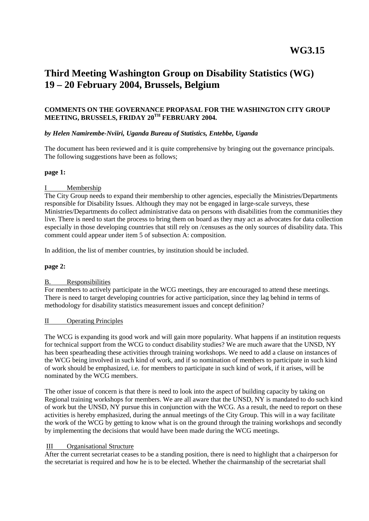# **Third Meeting Washington Group on Disability Statistics (WG) 19 – 20 February 2004, Brussels, Belgium**

## **COMMENTS ON THE GOVERNANCE PROPASAL FOR THE WASHINGTON CITY GROUP MEETING, BRUSSELS, FRIDAY 20TH FEBRUARY 2004.**

## *by Helen Namirembe-Nviiri, Uganda Bureau of Statistics, Entebbe, Uganda*

The document has been reviewed and it is quite comprehensive by bringing out the governance principals. The following suggestions have been as follows;

## **page 1:**

## I Membership

The City Group needs to expand their membership to other agencies, especially the Ministries/Departments responsible for Disability Issues. Although they may not be engaged in large-scale surveys, these Ministries/Departments do collect administrative data on persons with disabilities from the communities they live. There is need to start the process to bring them on board as they may act as advocates for data collection especially in those developing countries that still rely on /censuses as the only sources of disability data. This comment could appear under item 5 of subsection A: composition.

In addition, the list of member countries, by institution should be included.

#### **page 2:**

# B. Responsibilities

For members to actively participate in the WCG meetings, they are encouraged to attend these meetings. There is need to target developing countries for active participation, since they lag behind in terms of methodology for disability statistics measurement issues and concept definition?

#### II Operating Principles

The WCG is expanding its good work and will gain more popularity. What happens if an institution requests for technical support from the WCG to conduct disability studies? We are much aware that the UNSD, NY has been spearheading these activities through training workshops. We need to add a clause on instances of the WCG being involved in such kind of work, and if so nomination of members to participate in such kind of work should be emphasized, i.e. for members to participate in such kind of work, if it arises, will be nominated by the WCG members.

The other issue of concern is that there is need to look into the aspect of building capacity by taking on Regional training workshops for members. We are all aware that the UNSD, NY is mandated to do such kind of work but the UNSD, NY pursue this in conjunction with the WCG. As a result, the need to report on these activities is hereby emphasized, during the annual meetings of the City Group. This will in a way facilitate the work of the WCG by getting to know what is on the ground through the training workshops and secondly by implementing the decisions that would have been made during the WCG meetings.

# III Organisational Structure

After the current secretariat ceases to be a standing position, there is need to highlight that a chairperson for the secretariat is required and how he is to be elected. Whether the chairmanship of the secretariat shall